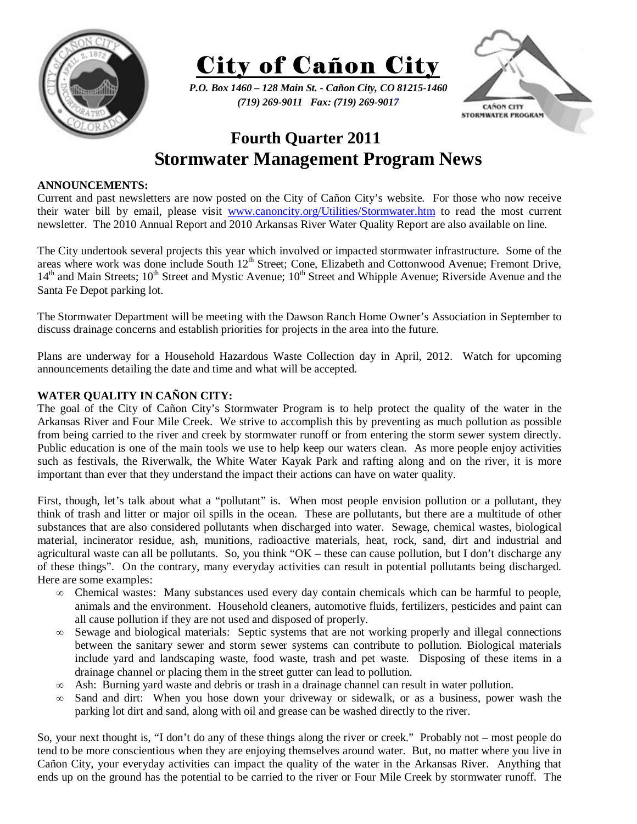



*P.O. Box 1460 – 128 Main St. - Cañon City, CO 81215-1460 (719) 269-9011 Fax: (719) 269-9017* 



## **Fourth Quarter 2011 Stormwater Management Program News**

## **ANNOUNCEMENTS:**

Current and past newsletters are now posted on the City of Cañon City's website. For those who now receive their water bill by email, please visit www.canoncity.org/Utilities/Stormwater.htm to read the most current newsletter. The 2010 Annual Report and 2010 Arkansas River Water Quality Report are also available on line.

The City undertook several projects this year which involved or impacted stormwater infrastructure. Some of the areas where work was done include South 12<sup>th</sup> Street; Cone, Elizabeth and Cottonwood Avenue; Fremont Drive, 14<sup>th</sup> and Main Streets; 10<sup>th</sup> Street and Mystic Avenue; 10<sup>th</sup> Street and Whipple Avenue; Riverside Avenue and the Santa Fe Depot parking lot.

The Stormwater Department will be meeting with the Dawson Ranch Home Owner's Association in September to discuss drainage concerns and establish priorities for projects in the area into the future.

Plans are underway for a Household Hazardous Waste Collection day in April, 2012. Watch for upcoming announcements detailing the date and time and what will be accepted.

## **WATER QUALITY IN CAÑON CITY:**

The goal of the City of Cañon City's Stormwater Program is to help protect the quality of the water in the Arkansas River and Four Mile Creek. We strive to accomplish this by preventing as much pollution as possible from being carried to the river and creek by stormwater runoff or from entering the storm sewer system directly. Public education is one of the main tools we use to help keep our waters clean. As more people enjoy activities such as festivals, the Riverwalk, the White Water Kayak Park and rafting along and on the river, it is more important than ever that they understand the impact their actions can have on water quality.

First, though, let's talk about what a "pollutant" is. When most people envision pollution or a pollutant, they think of trash and litter or major oil spills in the ocean. These are pollutants, but there are a multitude of other substances that are also considered pollutants when discharged into water. Sewage, chemical wastes, biological material, incinerator residue, ash, munitions, radioactive materials, heat, rock, sand, dirt and industrial and agricultural waste can all be pollutants. So, you think "OK – these can cause pollution, but I don't discharge any of these things". On the contrary, many everyday activities can result in potential pollutants being discharged. Here are some examples:

- ∞ Chemical wastes: Many substances used every day contain chemicals which can be harmful to people, animals and the environment. Household cleaners, automotive fluids, fertilizers, pesticides and paint can all cause pollution if they are not used and disposed of properly.
- ∞ Sewage and biological materials: Septic systems that are not working properly and illegal connections between the sanitary sewer and storm sewer systems can contribute to pollution. Biological materials include yard and landscaping waste, food waste, trash and pet waste. Disposing of these items in a drainage channel or placing them in the street gutter can lead to pollution.
- ∞ Ash: Burning yard waste and debris or trash in a drainage channel can result in water pollution.
- ∞ Sand and dirt: When you hose down your driveway or sidewalk, or as a business, power wash the parking lot dirt and sand, along with oil and grease can be washed directly to the river.

So, your next thought is, "I don't do any of these things along the river or creek." Probably not – most people do tend to be more conscientious when they are enjoying themselves around water. But, no matter where you live in Cañon City, your everyday activities can impact the quality of the water in the Arkansas River. Anything that ends up on the ground has the potential to be carried to the river or Four Mile Creek by stormwater runoff. The